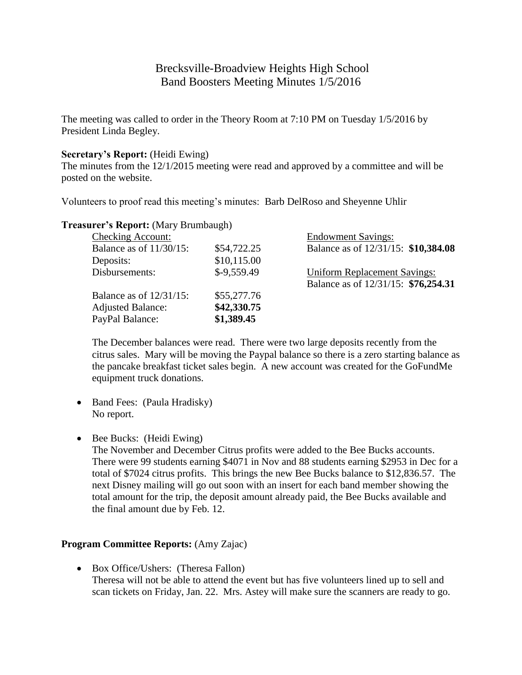# Brecksville-Broadview Heights High School Band Boosters Meeting Minutes 1/5/2016

The meeting was called to order in the Theory Room at 7:10 PM on Tuesday 1/5/2016 by President Linda Begley.

#### **Secretary's Report:** (Heidi Ewing)

The minutes from the 12/1/2015 meeting were read and approved by a committee and will be posted on the website.

Volunteers to proof read this meeting's minutes: Barb DelRoso and Sheyenne Uhlir

| <b>Checking Account:</b>   |              | <b>Endowment Savings:</b>           |
|----------------------------|--------------|-------------------------------------|
| Balance as of $11/30/15$ : | \$54,722.25  | Balance as of 12/31/15: \$10,384.08 |
| Deposits:                  | \$10,115.00  |                                     |
| Disbursements:             | $$-9,559.49$ | <b>Uniform Replacement Savings:</b> |
|                            |              | Balance as of 12/31/15: \$76,254.31 |
| Balance as of $12/31/15$ : | \$55,277.76  |                                     |
| <b>Adjusted Balance:</b>   | \$42,330.75  |                                     |
| PayPal Balance:            | \$1,389.45   |                                     |

**Treasurer's Report:** (Mary Brumbaugh)

The December balances were read. There were two large deposits recently from the citrus sales. Mary will be moving the Paypal balance so there is a zero starting balance as the pancake breakfast ticket sales begin. A new account was created for the GoFundMe equipment truck donations.

- Band Fees: (Paula Hradisky) No report.
- Bee Bucks: (Heidi Ewing)

The November and December Citrus profits were added to the Bee Bucks accounts. There were 99 students earning \$4071 in Nov and 88 students earning \$2953 in Dec for a total of \$7024 citrus profits. This brings the new Bee Bucks balance to \$12,836.57. The next Disney mailing will go out soon with an insert for each band member showing the total amount for the trip, the deposit amount already paid, the Bee Bucks available and the final amount due by Feb. 12.

### **Program Committee Reports:** (Amy Zajac)

• Box Office/Ushers: (Theresa Fallon) Theresa will not be able to attend the event but has five volunteers lined up to sell and scan tickets on Friday, Jan. 22. Mrs. Astey will make sure the scanners are ready to go.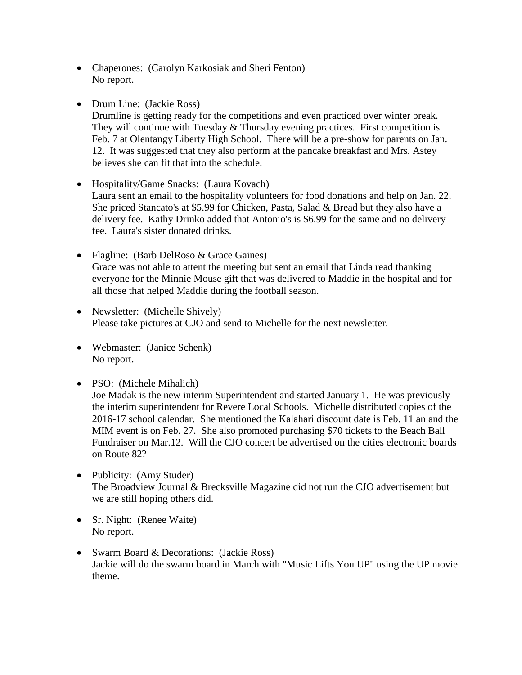- Chaperones: (Carolyn Karkosiak and Sheri Fenton) No report.
- Drum Line: (Jackie Ross) Drumline is getting ready for the competitions and even practiced over winter break. They will continue with Tuesday  $&$  Thursday evening practices. First competition is Feb. 7 at Olentangy Liberty High School. There will be a pre-show for parents on Jan. 12. It was suggested that they also perform at the pancake breakfast and Mrs. Astey believes she can fit that into the schedule.
- Hospitality/Game Snacks: (Laura Kovach) Laura sent an email to the hospitality volunteers for food donations and help on Jan. 22. She priced Stancato's at \$5.99 for Chicken, Pasta, Salad & Bread but they also have a delivery fee. Kathy Drinko added that Antonio's is \$6.99 for the same and no delivery fee. Laura's sister donated drinks.
- Flagline: (Barb DelRoso & Grace Gaines) Grace was not able to attent the meeting but sent an email that Linda read thanking everyone for the Minnie Mouse gift that was delivered to Maddie in the hospital and for all those that helped Maddie during the football season.
- Newsletter: (Michelle Shively) Please take pictures at CJO and send to Michelle for the next newsletter.
- Webmaster: (Janice Schenk) No report.
- PSO: (Michele Mihalich)

Joe Madak is the new interim Superintendent and started January 1. He was previously the interim superintendent for Revere Local Schools. Michelle distributed copies of the 2016-17 school calendar. She mentioned the Kalahari discount date is Feb. 11 an and the MIM event is on Feb. 27. She also promoted purchasing \$70 tickets to the Beach Ball Fundraiser on Mar.12. Will the CJO concert be advertised on the cities electronic boards on Route 82?

- Publicity: (Amy Studer) The Broadview Journal & Brecksville Magazine did not run the CJO advertisement but we are still hoping others did.
- Sr. Night: (Renee Waite) No report.
- Swarm Board & Decorations: (Jackie Ross) Jackie will do the swarm board in March with "Music Lifts You UP" using the UP movie theme.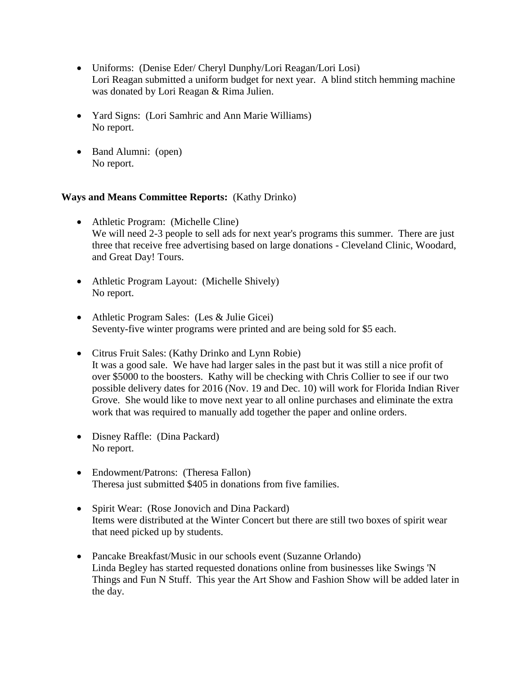- Uniforms: (Denise Eder/ Cheryl Dunphy/Lori Reagan/Lori Losi) Lori Reagan submitted a uniform budget for next year. A blind stitch hemming machine was donated by Lori Reagan & Rima Julien.
- Yard Signs: (Lori Samhric and Ann Marie Williams) No report.
- Band Alumni: (open) No report.

## **Ways and Means Committee Reports:** (Kathy Drinko)

- Athletic Program: (Michelle Cline) We will need 2-3 people to sell ads for next year's programs this summer. There are just three that receive free advertising based on large donations - Cleveland Clinic, Woodard, and Great Day! Tours.
- Athletic Program Layout: (Michelle Shively) No report.
- Athletic Program Sales: (Les & Julie Gicei) Seventy-five winter programs were printed and are being sold for \$5 each.
- Citrus Fruit Sales: (Kathy Drinko and Lynn Robie) It was a good sale. We have had larger sales in the past but it was still a nice profit of over \$5000 to the boosters. Kathy will be checking with Chris Collier to see if our two possible delivery dates for 2016 (Nov. 19 and Dec. 10) will work for Florida Indian River Grove. She would like to move next year to all online purchases and eliminate the extra work that was required to manually add together the paper and online orders.
- Disney Raffle: (Dina Packard) No report.
- Endowment/Patrons: (Theresa Fallon) Theresa just submitted \$405 in donations from five families.
- Spirit Wear: (Rose Jonovich and Dina Packard) Items were distributed at the Winter Concert but there are still two boxes of spirit wear that need picked up by students.
- Pancake Breakfast/Music in our schools event (Suzanne Orlando) Linda Begley has started requested donations online from businesses like Swings 'N Things and Fun N Stuff. This year the Art Show and Fashion Show will be added later in the day.